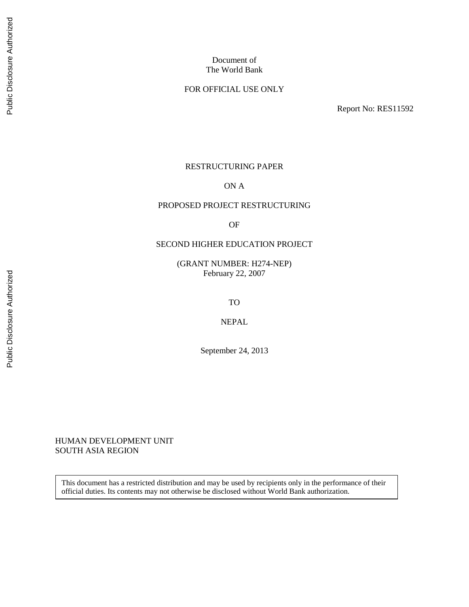## FOR OFFICIAL USE ONLY

Report No: RES11592

#### RESTRUCTURING PAPER

#### ON A

#### PROPOSED PROJECT RESTRUCTURING

OF

#### SECOND HIGHER EDUCATION PROJECT

(GRANT NUMBER: H274-NEP) February 22, 2007

TO

NEPAL

September 24, 2013

HUMAN DEVELOPMENT UNIT SOUTH ASIA REGION

This document has a restricted distribution and may be used by recipients only in the performance of their official duties. Its contents may not otherwise be disclosed without World Bank authorization.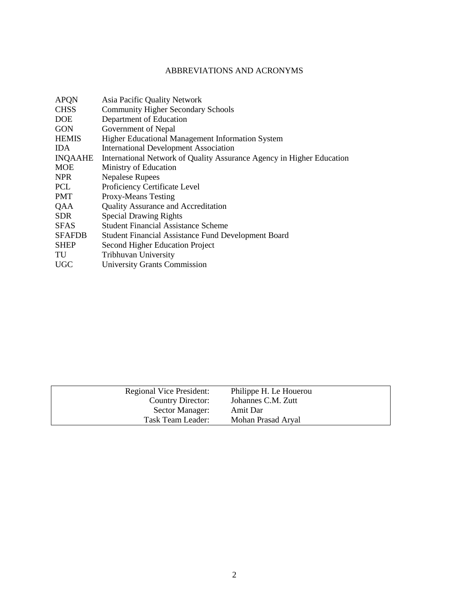# ABBREVIATIONS AND ACRONYMS

| <b>APQN</b>   | Asia Pacific Quality Network                                          |
|---------------|-----------------------------------------------------------------------|
| <b>CHSS</b>   | <b>Community Higher Secondary Schools</b>                             |
| <b>DOE</b>    | Department of Education                                               |
| <b>GON</b>    | Government of Nepal                                                   |
| <b>HEMIS</b>  | Higher Educational Management Information System                      |
| <b>IDA</b>    | <b>International Development Association</b>                          |
| INQAAHE       | International Network of Quality Assurance Agency in Higher Education |
| <b>MOE</b>    | Ministry of Education                                                 |
| NPR.          | <b>Nepalese Rupees</b>                                                |
| <b>PCL</b>    | Proficiency Certificate Level                                         |
| <b>PMT</b>    | <b>Proxy-Means Testing</b>                                            |
| QAA           | <b>Quality Assurance and Accreditation</b>                            |
| <b>SDR</b>    | <b>Special Drawing Rights</b>                                         |
| <b>SFAS</b>   | <b>Student Financial Assistance Scheme</b>                            |
| <b>SFAFDB</b> | <b>Student Financial Assistance Fund Development Board</b>            |
| <b>SHEP</b>   | Second Higher Education Project                                       |
| TU            | <b>Tribhuvan University</b>                                           |
| <b>UGC</b>    | <b>University Grants Commission</b>                                   |
|               |                                                                       |

| Regional Vice President: | Philippe H. Le Houerou |
|--------------------------|------------------------|
| Country Director:        | Johannes C.M. Zutt     |
| Sector Manager:          | Amit Dar               |
| Task Team Leader:        | Mohan Prasad Aryal     |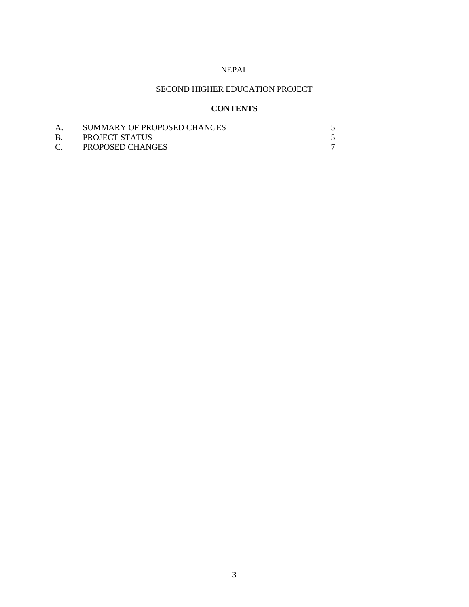## NEPAL

# SECOND HIGHER EDUCATION PROJECT

# **CONTENTS**

| SUMMARY OF PROPOSED CHANGES |  |
|-----------------------------|--|
| PROJECT STATUS              |  |
| <b>PROPOSED CHANGES</b>     |  |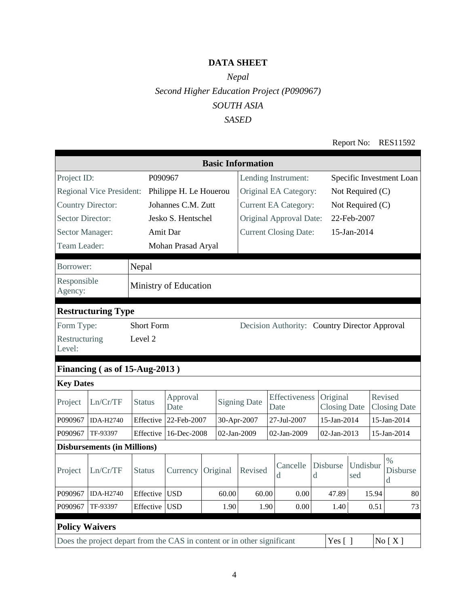# **DATA SHEET**

# *Nepal Second Higher Education Project (P090967) SOUTH ASIA SASED*

Report No: RES11592

| <b>Basic Information</b>        |                                                                                               |                   |                        |          |                |                                               |                     |                            |             |                                 |                  |       |                                |
|---------------------------------|-----------------------------------------------------------------------------------------------|-------------------|------------------------|----------|----------------|-----------------------------------------------|---------------------|----------------------------|-------------|---------------------------------|------------------|-------|--------------------------------|
| Project ID:                     |                                                                                               |                   | P090967                |          |                |                                               | Lending Instrument: |                            |             | Specific Investment Loan        |                  |       |                                |
| <b>Regional Vice President:</b> |                                                                                               |                   | Philippe H. Le Houerou |          |                | Original EA Category:                         |                     |                            |             | Not Required (C)                |                  |       |                                |
| <b>Country Director:</b>        |                                                                                               |                   | Johannes C.M. Zutt     |          |                | <b>Current EA Category:</b>                   |                     |                            |             |                                 | Not Required (C) |       |                                |
| <b>Sector Director:</b>         |                                                                                               |                   | Jesko S. Hentschel     |          |                | Original Approval Date:                       |                     |                            |             |                                 | 22-Feb-2007      |       |                                |
| Sector Manager:                 |                                                                                               |                   | Amit Dar               |          |                | <b>Current Closing Date:</b>                  |                     |                            |             |                                 | 15-Jan-2014      |       |                                |
| Team Leader:                    |                                                                                               |                   | Mohan Prasad Aryal     |          |                |                                               |                     |                            |             |                                 |                  |       |                                |
| Borrower:                       |                                                                                               | Nepal             |                        |          |                |                                               |                     |                            |             |                                 |                  |       |                                |
| Responsible<br>Agency:          |                                                                                               |                   | Ministry of Education  |          |                |                                               |                     |                            |             |                                 |                  |       |                                |
|                                 | <b>Restructuring Type</b>                                                                     |                   |                        |          |                |                                               |                     |                            |             |                                 |                  |       |                                |
| Form Type:                      |                                                                                               | <b>Short Form</b> |                        |          |                | Decision Authority: Country Director Approval |                     |                            |             |                                 |                  |       |                                |
| Restructuring<br>Level:         |                                                                                               | Level 2           |                        |          |                |                                               |                     |                            |             |                                 |                  |       |                                |
|                                 | Financing (as of 15-Aug-2013)                                                                 |                   |                        |          |                |                                               |                     |                            |             |                                 |                  |       |                                |
| <b>Key Dates</b>                |                                                                                               |                   |                        |          |                |                                               |                     |                            |             |                                 |                  |       |                                |
| Project                         | Ln/Cr/TF                                                                                      | <b>Status</b>     | Approval<br>Date       |          |                | <b>Signing Date</b>                           | Date                | Effectiveness              |             | Original<br><b>Closing Date</b> |                  |       | Revised<br><b>Closing Date</b> |
| P090967                         | <b>IDA-H2740</b>                                                                              | Effective         | 22-Feb-2007            |          |                | 30-Apr-2007                                   | 27-Jul-2007         |                            |             | 15-Jan-2014<br>15-Jan-2014      |                  |       |                                |
| P090967                         | TF-93397                                                                                      | Effective         | 16-Dec-2008            |          |                | 02-Jan-2009                                   |                     | 02-Jan-2009<br>02-Jan-2013 |             |                                 | 15-Jan-2014      |       |                                |
|                                 | <b>Disbursements (in Millions)</b>                                                            |                   |                        |          |                |                                               |                     |                            |             |                                 |                  |       |                                |
| Project                         | Ln/Cr/TF                                                                                      | <b>Status</b>     | Currency               | Original |                | Revised                                       | d                   | Cancelle                   | $\mathbf d$ | Disburse                        | Undisbur<br>sed  |       | $\%$<br><b>Disburse</b><br>d   |
| P090967                         | <b>IDA-H2740</b>                                                                              | Effective         | <b>USD</b>             |          | 60.00<br>60.00 |                                               |                     | 0.00                       |             | 47.89                           |                  | 15.94 | 80                             |
| P090967                         | TF-93397                                                                                      | Effective         | <b>USD</b>             | 1.90     |                | 1.90                                          |                     | 0.00                       |             | 1.40                            |                  | 0.51  | 73                             |
|                                 | <b>Policy Waivers</b>                                                                         |                   |                        |          |                |                                               |                     |                            |             |                                 |                  |       |                                |
|                                 | Does the project depart from the CAS in content or in other significant<br>Yes $[$ ]<br>No[X] |                   |                        |          |                |                                               |                     |                            |             |                                 |                  |       |                                |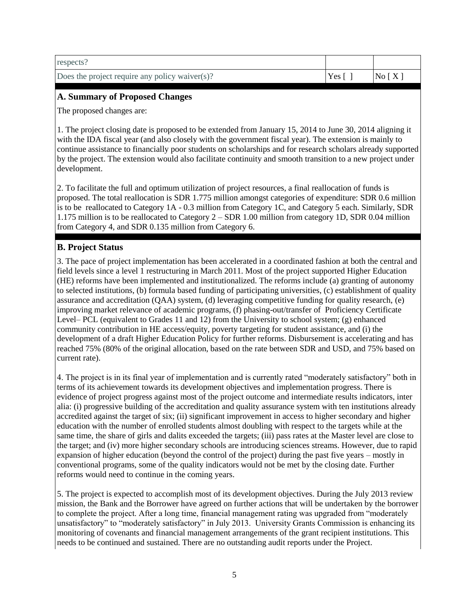| respects?                                      |              |       |
|------------------------------------------------|--------------|-------|
| Does the project require any policy waiver(s)? | Yes $\lceil$ | No[X] |

## **A. Summary of Proposed Changes**

The proposed changes are:

1. The project closing date is proposed to be extended from January 15, 2014 to June 30, 2014 aligning it with the IDA fiscal year (and also closely with the government fiscal year). The extension is mainly to continue assistance to financially poor students on scholarships and for research scholars already supported by the project. The extension would also facilitate continuity and smooth transition to a new project under development.

2. To facilitate the full and optimum utilization of project resources, a final reallocation of funds is proposed. The total reallocation is SDR 1.775 million amongst categories of expenditure: SDR 0.6 million is to be reallocated to Category 1A - 0.3 million from Category 1C, and Category 5 each. Similarly, SDR 1.175 million is to be reallocated to Category 2 – SDR 1.00 million from category 1D, SDR 0.04 million from Category 4, and SDR 0.135 million from Category 6.

## **B. Project Status**

3. The pace of project implementation has been accelerated in a coordinated fashion at both the central and field levels since a level 1 restructuring in March 2011. Most of the project supported Higher Education (HE) reforms have been implemented and institutionalized. The reforms include (a) granting of autonomy to selected institutions, (b) formula based funding of participating universities, (c) establishment of quality assurance and accreditation (QAA) system, (d) leveraging competitive funding for quality research, (e) improving market relevance of academic programs, (f) phasing-out/transfer of Proficiency Certificate Level– PCL (equivalent to Grades 11 and 12) from the University to school system; (g) enhanced community contribution in HE access/equity, poverty targeting for student assistance, and (i) the development of a draft Higher Education Policy for further reforms. Disbursement is accelerating and has reached 75% (80% of the original allocation, based on the rate between SDR and USD, and 75% based on current rate).

4. The project is in its final year of implementation and is currently rated "moderately satisfactory" both in terms of its achievement towards its development objectives and implementation progress. There is evidence of project progress against most of the project outcome and intermediate results indicators, inter alia: (i) progressive building of the accreditation and quality assurance system with ten institutions already accredited against the target of six; (ii) significant improvement in access to higher secondary and higher education with the number of enrolled students almost doubling with respect to the targets while at the same time, the share of girls and dalits exceeded the targets; (iii) pass rates at the Master level are close to the target; and (iv) more higher secondary schools are introducing sciences streams. However, due to rapid expansion of higher education (beyond the control of the project) during the past five years – mostly in conventional programs, some of the quality indicators would not be met by the closing date. Further reforms would need to continue in the coming years.

5. The project is expected to accomplish most of its development objectives. During the July 2013 review mission, the Bank and the Borrower have agreed on further actions that will be undertaken by the borrower to complete the project. After a long time, financial management rating was upgraded from "moderately unsatisfactory" to "moderately satisfactory" in July 2013. University Grants Commission is enhancing its monitoring of covenants and financial management arrangements of the grant recipient institutions. This needs to be continued and sustained. There are no outstanding audit reports under the Project.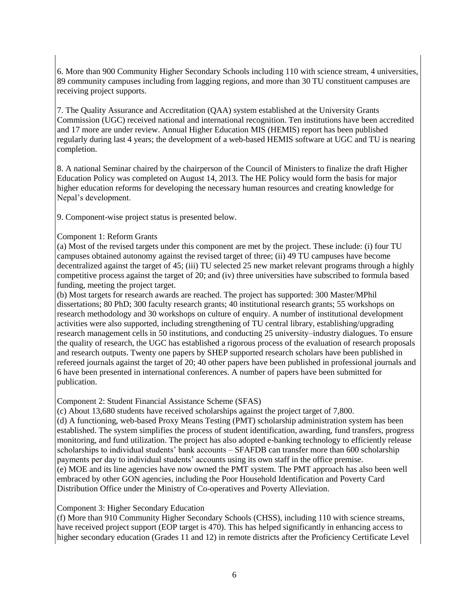6. More than 900 Community Higher Secondary Schools including 110 with science stream, 4 universities, 89 community campuses including from lagging regions, and more than 30 TU constituent campuses are receiving project supports.

7. The Quality Assurance and Accreditation (QAA) system established at the University Grants Commission (UGC) received national and international recognition. Ten institutions have been accredited and 17 more are under review. Annual Higher Education MIS (HEMIS) report has been published regularly during last 4 years; the development of a web-based HEMIS software at UGC and TU is nearing completion.

8. A national Seminar chaired by the chairperson of the Council of Ministers to finalize the draft Higher Education Policy was completed on August 14, 2013. The HE Policy would form the basis for major higher education reforms for developing the necessary human resources and creating knowledge for Nepal's development.

9. Component-wise project status is presented below.

## Component 1: Reform Grants

(a) Most of the revised targets under this component are met by the project. These include: (i) four TU campuses obtained autonomy against the revised target of three; (ii) 49 TU campuses have become decentralized against the target of 45; (iii) TU selected 25 new market relevant programs through a highly competitive process against the target of 20; and (iv) three universities have subscribed to formula based funding, meeting the project target.

(b) Most targets for research awards are reached. The project has supported: 300 Master/MPhil dissertations; 80 PhD; 300 faculty research grants; 40 institutional research grants; 55 workshops on research methodology and 30 workshops on culture of enquiry. A number of institutional development activities were also supported, including strengthening of TU central library, establishing/upgrading research management cells in 50 institutions, and conducting 25 university–industry dialogues. To ensure the quality of research, the UGC has established a rigorous process of the evaluation of research proposals and research outputs. Twenty one papers by SHEP supported research scholars have been published in refereed journals against the target of 20; 40 other papers have been published in professional journals and 6 have been presented in international conferences. A number of papers have been submitted for publication.

#### Component 2: Student Financial Assistance Scheme (SFAS)

(c) About 13,680 students have received scholarships against the project target of 7,800.

(d) A functioning, web-based Proxy Means Testing (PMT) scholarship administration system has been established. The system simplifies the process of student identification, awarding, fund transfers, progress monitoring, and fund utilization. The project has also adopted e-banking technology to efficiently release scholarships to individual students' bank accounts – SFAFDB can transfer more than 600 scholarship payments per day to individual students' accounts using its own staff in the office premise. (e) MOE and its line agencies have now owned the PMT system. The PMT approach has also been well embraced by other GON agencies, including the Poor Household Identification and Poverty Card Distribution Office under the Ministry of Co-operatives and Poverty Alleviation.

#### Component 3: Higher Secondary Education

(f) More than 910 Community Higher Secondary Schools (CHSS), including 110 with science streams, have received project support (EOP target is 470). This has helped significantly in enhancing access to higher secondary education (Grades 11 and 12) in remote districts after the Proficiency Certificate Level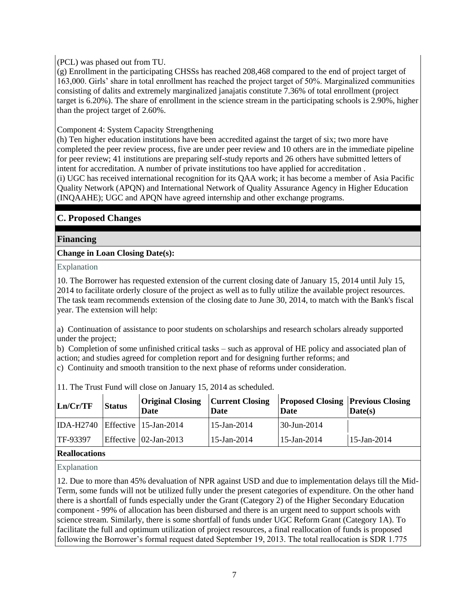## (PCL) was phased out from TU.

(g) Enrollment in the participating CHSSs has reached 208,468 compared to the end of project target of 163,000. Girls' share in total enrollment has reached the project target of 50%. Marginalized communities consisting of dalits and extremely marginalized janajatis constitute 7.36% of total enrollment (project target is 6.20%). The share of enrollment in the science stream in the participating schools is 2.90%, higher than the project target of 2.60%.

## Component 4: System Capacity Strengthening

(h) Ten higher education institutions have been accredited against the target of six; two more have completed the peer review process, five are under peer review and 10 others are in the immediate pipeline for peer review; 41 institutions are preparing self-study reports and 26 others have submitted letters of intent for accreditation. A number of private institutions too have applied for accreditation . (i) UGC has received international recognition for its QAA work; it has become a member of Asia Pacific Quality Network (APQN) and International Network of Quality Assurance Agency in Higher Education (INQAAHE); UGC and APQN have agreed internship and other exchange programs.

# **C. Proposed Changes**

## **Financing**

## **Change in Loan Closing Date(s):**

Explanation

10. The Borrower has requested extension of the current closing date of January 15, 2014 until July 15, 2014 to facilitate orderly closure of the project as well as to fully utilize the available project resources. The task team recommends extension of the closing date to June 30, 2014, to match with the Bank's fiscal year. The extension will help:

a) Continuation of assistance to poor students on scholarships and research scholars already supported under the project;

b) Completion of some unfinished critical tasks – such as approval of HE policy and associated plan of action; and studies agreed for completion report and for designing further reforms; and

c) Continuity and smooth transition to the next phase of reforms under consideration.

| Ln/Cr/TF                                 | <b>Status</b> | <b>Original Closing</b><br>Date | <b>Current Closing</b><br>Date | <b>Proposed Closing Previous Closing</b><br>Date | Date(s)        |
|------------------------------------------|---------------|---------------------------------|--------------------------------|--------------------------------------------------|----------------|
| $IDA-H2740$ Effective 15-Jan-2014        |               |                                 | $15$ -Jan-2014                 | 30-Jun-2014                                      |                |
| TF-93397                                 |               | Effective   02-Jan-2013         | $15$ -Jan-2014                 | $15$ -Jan-2014                                   | $15$ -Jan-2014 |
| $\mathbf{D}$ . $\mathbf{H}$ $\mathbf{L}$ |               |                                 |                                |                                                  |                |

11. The Trust Fund will close on January 15, 2014 as scheduled.

#### **Reallocations**

Explanation

12. Due to more than 45% devaluation of NPR against USD and due to implementation delays till the Mid-Term, some funds will not be utilized fully under the present categories of expenditure. On the other hand there is a shortfall of funds especially under the Grant (Category 2) of the Higher Secondary Education component - 99% of allocation has been disbursed and there is an urgent need to support schools with science stream. Similarly, there is some shortfall of funds under UGC Reform Grant (Category 1A). To facilitate the full and optimum utilization of project resources, a final reallocation of funds is proposed following the Borrower's formal request dated September 19, 2013. The total reallocation is SDR 1.775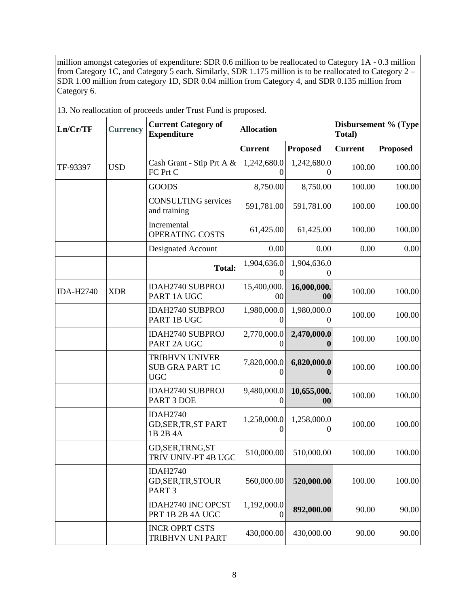million amongst categories of expenditure: SDR 0.6 million to be reallocated to Category 1A - 0.3 million from Category 1C, and Category 5 each. Similarly, SDR 1.175 million is to be reallocated to Category 2 – SDR 1.00 million from category 1D, SDR 0.04 million from Category 4, and SDR 0.135 million from Category 6.

| 13. No reallocation of proceeds under Trust Fund is proposed. |  |  |
|---------------------------------------------------------------|--|--|
|                                                               |  |  |

| Ln/Cr/TF         | <b>Current Category of</b><br><b>Allocation</b><br><b>Currency</b><br><b>Expenditure</b> |                                                               |                         |                         | Total)         | Disbursement % (Type |
|------------------|------------------------------------------------------------------------------------------|---------------------------------------------------------------|-------------------------|-------------------------|----------------|----------------------|
|                  |                                                                                          |                                                               | <b>Current</b>          | <b>Proposed</b>         | <b>Current</b> | <b>Proposed</b>      |
| TF-93397         | <b>USD</b>                                                                               | Cash Grant - Stip Prt A &<br>FC Prt C                         | 1,242,680.0<br>$\theta$ | 1,242,680.0             | 100.00         | 100.00               |
|                  |                                                                                          | <b>GOODS</b>                                                  | 8,750.00                | 8,750.00                | 100.00         | 100.00               |
|                  |                                                                                          | <b>CONSULTING</b> services<br>and training                    | 591,781.00              | 591,781.00              | 100.00         | 100.00               |
|                  |                                                                                          | Incremental<br>OPERATING COSTS                                | 61,425.00               | 61,425.00               | 100.00         | 100.00               |
|                  |                                                                                          | Designated Account                                            | 0.00                    | 0.00                    | 0.00           | 0.00                 |
|                  |                                                                                          | <b>Total:</b>                                                 | 1,904,636.0<br>0        | 1,904,636.0<br>$\Omega$ |                |                      |
| <b>IDA-H2740</b> | <b>XDR</b>                                                                               | <b>IDAH2740 SUBPROJ</b><br>PART 1A UGC                        | 15,400,000.<br>00       | 16,000,000.<br>00       | 100.00         | 100.00               |
|                  |                                                                                          | <b>IDAH2740 SUBPROJ</b><br>PART 1B UGC                        | 1,980,000.0<br>0        | 1,980,000.0<br>$\theta$ | 100.00         | 100.00               |
|                  |                                                                                          | <b>IDAH2740 SUBPROJ</b><br>PART 2A UGC                        | 2,770,000.0<br>0        | 2,470,000.0             | 100.00         | 100.00               |
|                  |                                                                                          | <b>TRIBHVN UNIVER</b><br><b>SUB GRA PART 1C</b><br><b>UGC</b> | 7,820,000.0<br>0        | 6,820,000.0             | 100.00         | 100.00               |
|                  |                                                                                          | <b>IDAH2740 SUBPROJ</b><br>PART 3 DOE                         | 9,480,000.0<br>0        | 10,655,000.<br>00       | 100.00         | 100.00               |
|                  |                                                                                          | <b>IDAH2740</b><br><b>GD, SER, TR, ST PART</b><br>1B 2B 4A    | 1,258,000.0<br>0        | 1,258,000.0<br>$\theta$ | 100.00         | 100.00               |
|                  |                                                                                          | GD, SER, TRNG, ST<br>TRIV UNIV-PT 4B UGC                      | 510,000.00              | 510,000.00              | 100.00         | 100.00               |
|                  |                                                                                          | <b>IDAH2740</b><br>GD, SER, TR, STOUR<br>PART <sub>3</sub>    | 560,000.00              | 520,000.00              | 100.00         | 100.00               |
|                  |                                                                                          | <b>IDAH2740 INC OPCST</b><br>PRT 1B 2B 4A UGC                 | 1,192,000.0<br>0        | 892,000.00              | 90.00          | 90.00                |
|                  |                                                                                          | <b>INCR OPRT CSTS</b><br>TRIBHVN UNI PART                     | 430,000.00              | 430,000.00              | 90.00          | 90.00                |